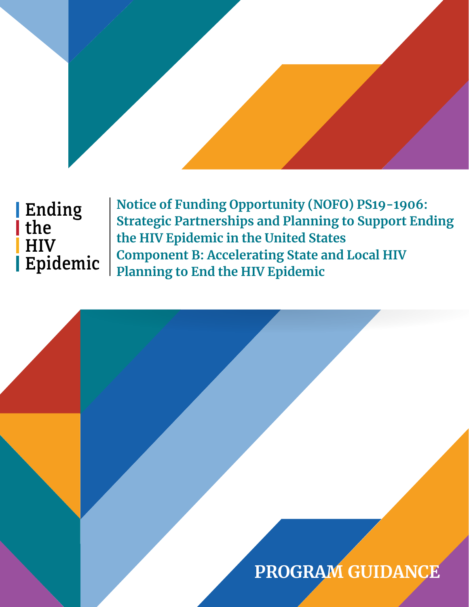# Ending the HIV Epidemic

**Notice of Funding Opportunity (NOFO) PS19-1906: Strategic Partnerships and Planning to Support Ending the HIV Epidemic in the United States Component B: Accelerating State and Local HIV Planning to End the HIV Epidemic**

# **PROGRAM GUIDANCE**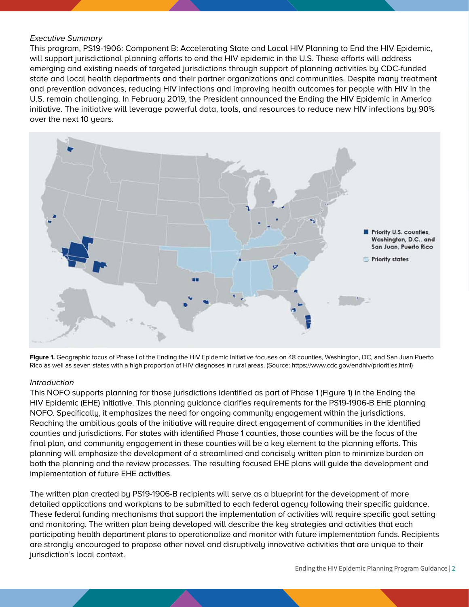#### Executive Summary

This program, PS19-1906: Component B: Accelerating State and Local HIV Planning to End the HIV Epidemic, will support jurisdictional planning efforts to end the HIV epidemic in the U.S. These efforts will address emerging and existing needs of targeted jurisdictions through support of planning activities by CDC-funded state and local health departments and their partner organizations and communities. Despite many treatment and prevention advances, reducing HIV infections and improving health outcomes for people with HIV in the U.S. remain challenging. In February 2019, the President announced the Ending the HIV Epidemic in America initiative. The initiative will leverage powerful data, tools, and resources to reduce new HIV infections by 90% over the next 10 years.





#### Introduction

This NOFO supports planning for those jurisdictions identified as part of Phase 1 (Figure 1) in the Ending the HIV Epidemic (EHE) initiative. This planning guidance clarifies requirements for the PS19-1906-B EHE planning NOFO. Specifically, it emphasizes the need for ongoing community engagement within the jurisdictions. Reaching the ambitious goals of the initiative will require direct engagement of communities in the identified counties and jurisdictions. For states with identified Phase 1 counties, those counties will be the focus of the final plan, and community engagement in these counties will be a key element to the planning efforts. This planning will emphasize the development of a streamlined and concisely written plan to minimize burden on both the planning and the review processes. The resulting focused EHE plans will guide the development and implementation of future EHE activities.

The written plan created by PS19-1906-B recipients will serve as a blueprint for the development of more detailed applications and workplans to be submitted to each federal agency following their specific guidance. These federal funding mechanisms that support the implementation of activities will require specific goal setting and monitoring. The written plan being developed will describe the key strategies and activities that each participating health department plans to operationalize and monitor with future implementation funds. Recipients are strongly encouraged to propose other novel and disruptively innovative activities that are unique to their jurisdiction's local context.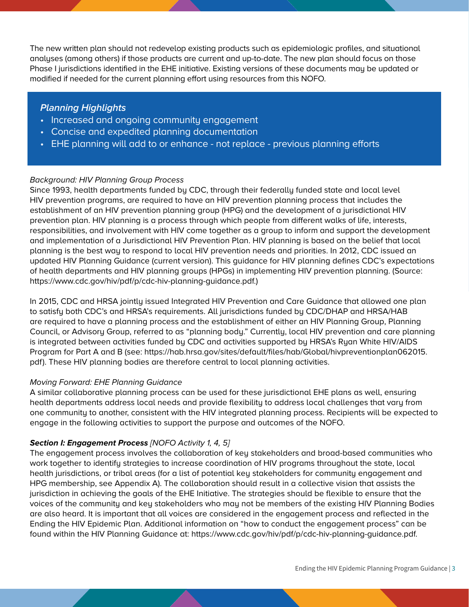The new written plan should not redevelop existing products such as epidemiologic profiles, and situational analyses (among others) if those products are current and up-to-date. The new plan should focus on those Phase I jurisdictions identified in the EHE initiative. Existing versions of these documents may be updated or modified if needed for the current planning effort using resources from this NOFO.

# **Planning Highlights**

- Increased and ongoing community engagement
- Concise and expedited planning documentation
- EHE planning will add to or enhance not replace previous planning efforts

### Background: HIV Planning Group Process

Since 1993, health departments funded by CDC, through their federally funded state and local level HIV prevention programs, are required to have an HIV prevention planning process that includes the establishment of an HIV prevention planning group (HPG) and the development of a jurisdictional HIV prevention plan. HIV planning is a process through which people from different walks of life, interests, responsibilities, and involvement with HIV come together as a group to inform and support the development and implementation of a Jurisdictional HIV Prevention Plan. HIV planning is based on the belief that local planning is the best way to respond to local HIV prevention needs and priorities. In 2012, CDC issued an updated HIV Planning Guidance (current version). This guidance for HIV planning defines CDC's expectations of health departments and HIV planning groups (HPGs) in implementing HIV prevention planning. (Source: [https://www.cdc.gov/hiv/pdf/p/cdc-hiv-planning-guidance.pdf.](https://www.cdc.gov/hiv/pdf/p/cdc-hiv-planning-guidance.pdf))

In 2015, CDC and HRSA jointly issued Integrated HIV Prevention and Care Guidance that allowed one plan to satisfy both CDC's and HRSA's requirements. All jurisdictions funded by CDC/DHAP and HRSA/HAB are required to have a planning process and the establishment of either an HIV Planning Group, Planning Council, or Advisory Group, referred to as "planning body." Currently, local HIV prevention and care planning is integrated between activities funded by CDC and activities supported by HRSA's Ryan White HIV/AIDS Program for Part A and B (see: h[ttps://hab.hrsa.gov/sites/default/files/hab/Global/hivpreventionplan062015.](ttps://hab.hrsa.gov/sites/default/files/hab/Global/hivpreventionplan062015.pdf) [pdf\)](ttps://hab.hrsa.gov/sites/default/files/hab/Global/hivpreventionplan062015.pdf). These HIV planning bodies are therefore central to local planning activities.

#### Moving Forward: EHE Planning Guidance

A similar collaborative planning process can be used for these jurisdictional EHE plans as well, ensuring health departments address local needs and provide flexibility to address local challenges that vary from one community to another, consistent with the HIV integrated planning process. Recipients will be expected to engage in the following activities to support the purpose and outcomes of the NOFO.

#### **Section I: Engagement Process** [NOFO Activity 1, 4, 5]

The engagement process involves the collaboration of key stakeholders and broad-based communities who work together to identify strategies to increase coordination of HIV programs throughout the state, local health jurisdictions, or tribal areas (for a list of potential key stakeholders for community engagement and HPG membership, see Appendix A). The collaboration should result in a collective vision that assists the jurisdiction in achieving the goals of the EHE Initiative. The strategies should be flexible to ensure that the voices of the community and key stakeholders who may not be members of the existing HIV Planning Bodies are also heard. It is important that all voices are considered in the engagement process and reflected in the Ending the HIV Epidemic Plan. Additional information on "how to conduct the engagement process" can be found within the HIV Planning Guidance at: [https://www.cdc.gov/hiv/pdf/p/cdc-hiv-planning-guidance.pdf.](https://www.cdc.gov/hiv/pdf/p/cdc-hiv-planning-guidance.pdf)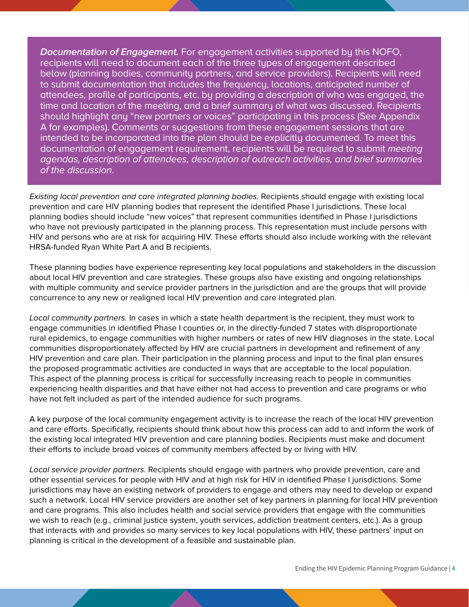**Documentation of Engagement.** For engagement activities supported by this NOFO, recipients will need to document each of the three types of engagement described below (planning bodies, community partners, and service providers). Recipients will need to submit documentation that includes the frequency, locations, anticipated number of attendees, profile of participants, etc. by providing a description of who was engaged, the time and location of the meeting, and a brief summary of what was discussed. Recipients should highlight any "new partners or voices" participating in this process (See Appendix A for examples). Comments or suggestions from these engagement sessions that are intended to be incorporated into the plan should be explicitly documented. To meet this documentation of engagement requirement, recipients will be required to submit *meeting* agendas, description of attendees, description of outreach activities, and brief summaries of the discussion.

Existing local prevention and care integrated planning bodies. Recipients should engage with existing local prevention and care HIV planning bodies that represent the identified Phase I jurisdictions. These local planning bodies should include "new voices" that represent communities identified in Phase I jurisdictions who have not previously participated in the planning process. This representation must include persons with HIV and persons who are at risk for acquiring HIV. These efforts should also include working with the relevant HRSA-funded Ryan White Part A and B recipients.

These planning bodies have experience representing key local populations and stakeholders in the discussion about local HIV prevention and care strategies. These groups also have existing and ongoing relationships with multiple community and service provider partners in the jurisdiction and are the groups that will provide concurrence to any new or realigned local HIV prevention and care integrated plan.

Local community partners. In cases in which a state health department is the recipient, they must work to engage communities in identified Phase I counties or, in the directly-funded 7 states with disproportionate rural epidemics, to engage communities with higher numbers or rates of new HIV diagnoses in the state. Local communities disproportionately affected by HIV are crucial partners in development and refinement of any HIV prevention and care plan. Their participation in the planning process and input to the final plan ensures the proposed programmatic activities are conducted in ways that are acceptable to the local population. This aspect of the planning process is critical for successfully increasing reach to people in communities experiencing health disparities and that have either not had access to prevention and care programs or who have not felt included as part of the intended audience for such programs.

A key purpose of the local community engagement activity is to increase the reach of the local HIV prevention and care efforts. Specifically, recipients should think about how this process can add to and inform the work of the existing local integrated HIV prevention and care planning bodies. Recipients must make and document their efforts to include broad voices of community members affected by or living with HIV.

Local service provider partners. Recipients should engage with partners who provide prevention, care and other essential services for people with HIV and at high risk for HIV in identified Phase I jurisdictions. Some jurisdictions may have an existing network of providers to engage and others may need to develop or expand such a network. Local HIV service providers are another set of key partners in planning for local HIV prevention and care programs. This also includes health and social service providers that engage with the communities we wish to reach (e.g., criminal justice system, youth services, addiction treatment centers, etc.). As a group that interacts with and provides so many services to key local populations with HIV, these partners' input on planning is critical in the development of a feasible and sustainable plan.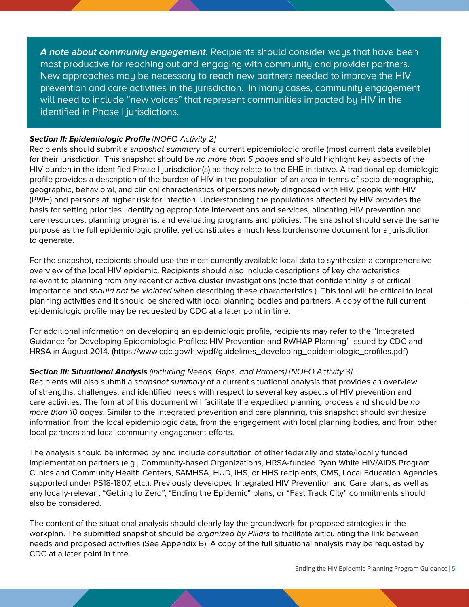**A note about community engagement.** Recipients should consider ways that have been most productive for reaching out and engaging with community and provider partners. New approaches may be necessary to reach new partners needed to improve the HIV prevention and care activities in the jurisdiction. In many cases, community engagement will need to include "new voices" that represent communities impacted by HIV in the identified in Phase I jurisdictions.

### **Section II: Epidemiologic Profile [NOFO Activity 2]**

Recipients should submit a snapshot summary of a current epidemiologic profile (most current data available) for their jurisdiction. This snapshot should be no more than 5 pages and should highlight key aspects of the HIV burden in the identified Phase I jurisdiction(s) as they relate to the EHE initiative. A traditional epidemiologic profile provides a description of the burden of HIV in the population of an area in terms of socio-demographic, geographic, behavioral, and clinical characteristics of persons newly diagnosed with HIV, people with HIV (PWH) and persons at higher risk for infection. Understanding the populations affected by HIV provides the basis for setting priorities, identifying appropriate interventions and services, allocating HIV prevention and care resources, planning programs, and evaluating programs and policies. The snapshot should serve the same purpose as the full epidemiologic profile, yet constitutes a much less burdensome document for a jurisdiction to generate.

For the snapshot, recipients should use the most currently available local data to synthesize a comprehensive overview of the local HIV epidemic. Recipients should also include descriptions of key characteristics relevant to planning from any recent or active cluster investigations (note that confidentiality is of critical importance and should not be violated when describing these characteristics.). This tool will be critical to local planning activities and it should be shared with local planning bodies and partners. A copy of the full current epidemiologic profile may be requested by CDC at a later point in time.

For additional information on developing an epidemiologic profile, recipients may refer to the "Integrated Guidance for Developing Epidemiologic Profiles: HIV Prevention and RWHAP Planning" issued by CDC and HRSA in August 2014. ([https://www.cdc.gov/hiv/pdf/guidelines\\_developing\\_epidemiologic\\_profiles.pdf](https://www.cdc.gov/hiv/pdf/guidelines_developing_epidemiologic_profiles.pdf))

# **Section III: Situational Analysis** (including Needs, Gaps, and Barriers) [NOFO Activity 3]

Recipients will also submit a snapshot summary of a current situational analysis that provides an overview of strengths, challenges, and identified needs with respect to several key aspects of HIV prevention and care activities. The format of this document will facilitate the expedited planning process and should be no more than 10 pages. Similar to the integrated prevention and care planning, this snapshot should synthesize information from the local epidemiologic data, from the engagement with local planning bodies, and from other local partners and local community engagement efforts.

The analysis should be informed by and include consultation of other federally and state/locally funded implementation partners (e.g., Community-based Organizations, HRSA-funded Ryan White HIV/AIDS Program Clinics and Community Health Centers, SAMHSA, HUD, IHS, or HHS recipients, CMS, Local Education Agencies supported under PS18-1807, etc.). Previously developed Integrated HIV Prevention and Care plans, as well as any locally-relevant "Getting to Zero", "Ending the Epidemic" plans, or "Fast Track City" commitments should also be considered.

The content of the situational analysis should clearly lay the groundwork for proposed strategies in the workplan. The submitted snapshot should be *organized by Pillars* to facilitate articulating the link between needs and proposed activities (See Appendix B). A copy of the full situational analysis may be requested by CDC at a later point in time.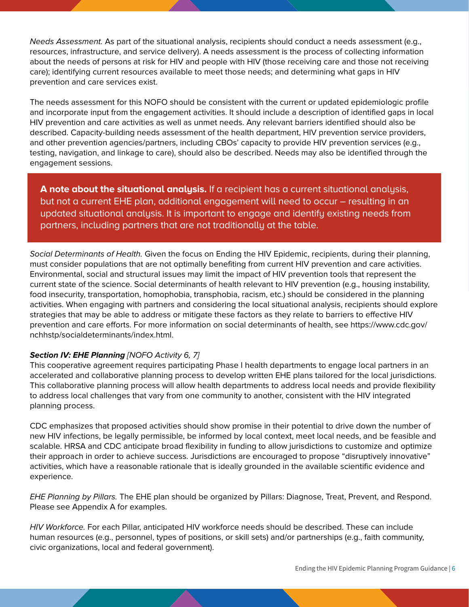Needs Assessment. As part of the situational analysis, recipients should conduct a needs assessment (e.g., resources, infrastructure, and service delivery). A needs assessment is the process of collecting information about the needs of persons at risk for HIV and people with HIV (those receiving care and those not receiving care); identifying current resources available to meet those needs; and determining what gaps in HIV prevention and care services exist.

The needs assessment for this NOFO should be consistent with the current or updated epidemiologic profile and incorporate input from the engagement activities. It should include a description of identified gaps in local HIV prevention and care activities as well as unmet needs. Any relevant barriers identified should also be described. Capacity-building needs assessment of the health department, HIV prevention service providers, and other prevention agencies/partners, including CBOs' capacity to provide HIV prevention services (e.g., testing, navigation, and linkage to care), should also be described. Needs may also be identified through the engagement sessions.

**A note about the situational analysis.** If a recipient has a current situational analysis, but not a current EHE plan, additional engagement will need to occur – resulting in an updated situational analysis. It is important to engage and identify existing needs from partners, including partners that are not traditionally at the table.

Social Determinants of Health. Given the focus on Ending the HIV Epidemic, recipients, during their planning, must consider populations that are not optimally benefiting from current HIV prevention and care activities. Environmental, social and structural issues may limit the impact of HIV prevention tools that represent the current state of the science. Social determinants of health relevant to HIV prevention (e.g., housing instability, food insecurity, transportation, homophobia, transphobia, racism, etc.) should be considered in the planning activities. When engaging with partners and considering the local situational analysis, recipients should explore strategies that may be able to address or mitigate these factors as they relate to barriers to effective HIV prevention and care efforts. For more information on social determinants of health, see [https://www.cdc.gov/](https://www.cdc.gov/nchhstp/socialdeterminants/index.html) [nchhstp/socialdeterminants/index.html](https://www.cdc.gov/nchhstp/socialdeterminants/index.html).

# **Section IV: EHE Planning [NOFO Activity 6, 7]**

This cooperative agreement requires participating Phase I health departments to engage local partners in an accelerated and collaborative planning process to develop written EHE plans tailored for the local jurisdictions. This collaborative planning process will allow health departments to address local needs and provide flexibility to address local challenges that vary from one community to another, consistent with the HIV integrated planning process.

CDC emphasizes that proposed activities should show promise in their potential to drive down the number of new HIV infections, be legally permissible, be informed by local context, meet local needs, and be feasible and scalable. HRSA and CDC anticipate broad flexibility in funding to allow jurisdictions to customize and optimize their approach in order to achieve success. Jurisdictions are encouraged to propose "disruptively innovative" activities, which have a reasonable rationale that is ideally grounded in the available scientific evidence and experience.

EHE Planning by Pillars. The EHE plan should be organized by Pillars: Diagnose, Treat, Prevent, and Respond. Please see Appendix A for examples.

HIV Workforce. For each Pillar, anticipated HIV workforce needs should be described. These can include human resources (e.g., personnel, types of positions, or skill sets) and/or partnerships (e.g., faith community, civic organizations, local and federal government).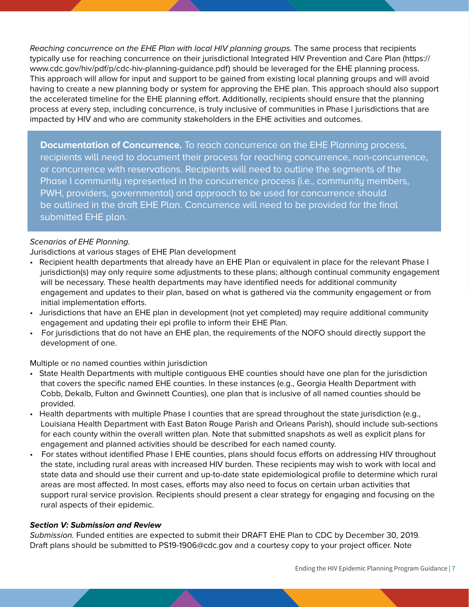Reaching concurrence on the EHE Plan with local HIV planning groups. The same process that recipients typically use for reaching concurrence on their jurisdictional Integrated HIV Prevention and Care Plan ([https://](https://www.cdc.gov/hiv/pdf/p/cdc-hiv-planning-guidance.pdf) [www.cdc.gov/hiv/pdf/p/cdc-hiv-planning-guidance.pdf](https://www.cdc.gov/hiv/pdf/p/cdc-hiv-planning-guidance.pdf)) should be leveraged for the EHE planning process. This approach will allow for input and support to be gained from existing local planning groups and will avoid having to create a new planning body or system for approving the EHE plan. This approach should also support the accelerated timeline for the EHE planning effort. Additionally, recipients should ensure that the planning process at every step, including concurrence, is truly inclusive of communities in Phase I jurisdictions that are impacted by HIV and who are community stakeholders in the EHE activities and outcomes.

**Documentation of Concurrence.** To reach concurrence on the EHE Planning process, recipients will need to document their process for reaching concurrence, non-concurrence, or concurrence with reservations. Recipients will need to outline the segments of the Phase I community represented in the concurrence process (i.e., community members, PWH, providers, governmental) and approach to be used for concurrence should be outlined in the draft EHE Plan. Concurrence will need to be provided for the final submitted EHE plan.

# Scenarios of EHE Planning.

Jurisdictions at various stages of EHE Plan development

- Recipient health departments that already have an EHE Plan or equivalent in place for the relevant Phase I jurisdiction(s) may only require some adjustments to these plans; although continual community engagement will be necessary. These health departments may have identified needs for additional community engagement and updates to their plan, based on what is gathered via the community engagement or from initial implementation efforts.
- Jurisdictions that have an EHE plan in development (not yet completed) may require additional community engagement and updating their epi profile to inform their EHE Plan.
- For jurisdictions that do not have an EHE plan, the requirements of the NOFO should directly support the development of one.

Multiple or no named counties within jurisdiction

- State Health Departments with multiple contiguous EHE counties should have one plan for the jurisdiction that covers the specific named EHE counties. In these instances (e.g., Georgia Health Department with Cobb, Dekalb, Fulton and Gwinnett Counties), one plan that is inclusive of all named counties should be provided.
- Health departments with multiple Phase I counties that are spread throughout the state jurisdiction (e.g., Louisiana Health Department with East Baton Rouge Parish and Orleans Parish), should include sub-sections for each county within the overall written plan. Note that submitted snapshots as well as explicit plans for engagement and planned activities should be described for each named county.
- For states without identified Phase I EHE counties, plans should focus efforts on addressing HIV throughout the state, including rural areas with increased HIV burden. These recipients may wish to work with local and state data and should use their current and up-to-date state epidemiological profile to determine which rural areas are most affected. In most cases, efforts may also need to focus on certain urban activities that support rural service provision. Recipients should present a clear strategy for engaging and focusing on the rural aspects of their epidemic.

#### **Section V: Submission and Review**

Submission. Funded entities are expected to submit their DRAFT EHE Plan to CDC by December 30, 2019. Draft plans should be submitted to [PS19-1906@cdc.gov](mailto:PS19-1906%40cdc.gov?subject=) and a courtesy copy to your project officer. Note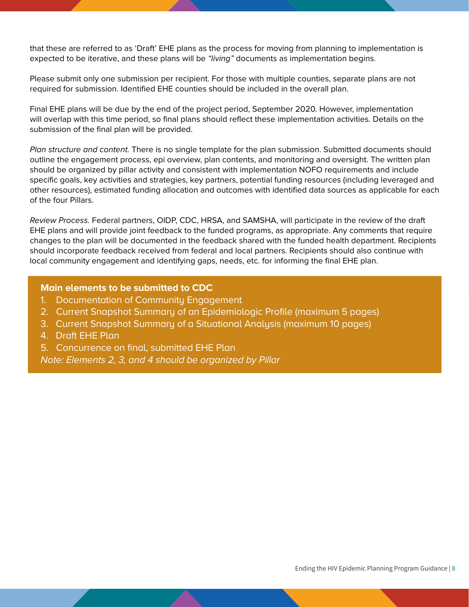that these are referred to as 'Draft' EHE plans as the process for moving from planning to implementation is expected to be iterative, and these plans will be "*living*" documents as implementation begins.

Please submit only one submission per recipient. For those with multiple counties, separate plans are not required for submission. Identified EHE counties should be included in the overall plan.

Final EHE plans will be due by the end of the project period, September 2020. However, implementation will overlap with this time period, so final plans should reflect these implementation activities. Details on the submission of the final plan will be provided.

Plan structure and content. There is no single template for the plan submission. Submitted documents should outline the engagement process, epi overview, plan contents, and monitoring and oversight. The written plan should be organized by pillar activity and consistent with implementation NOFO requirements and include specific goals, key activities and strategies, key partners, potential funding resources (including leveraged and other resources), estimated funding allocation and outcomes with identified data sources as applicable for each of the four Pillars.

Review Process. Federal partners, OIDP, CDC, HRSA, and SAMSHA, will participate in the review of the draft EHE plans and will provide joint feedback to the funded programs, as appropriate. Any comments that require changes to the plan will be documented in the feedback shared with the funded health department. Recipients should incorporate feedback received from federal and local partners. Recipients should also continue with local community engagement and identifying gaps, needs, etc. for informing the final EHE plan.

### **Main elements to be submitted to CDC**

- 1. Documentation of Community Engagement
- 2. Current Snapshot Summary of an Epidemiologic Profile (maximum 5 pages)
- 3. Current Snapshot Summary of a Situational Analysis (maximum 10 pages)
- 4. Draft EHE Plan
- 5. Concurrence on final, submitted EHE Plan

Note: Elements 2, 3, and 4 should be organized by Pillar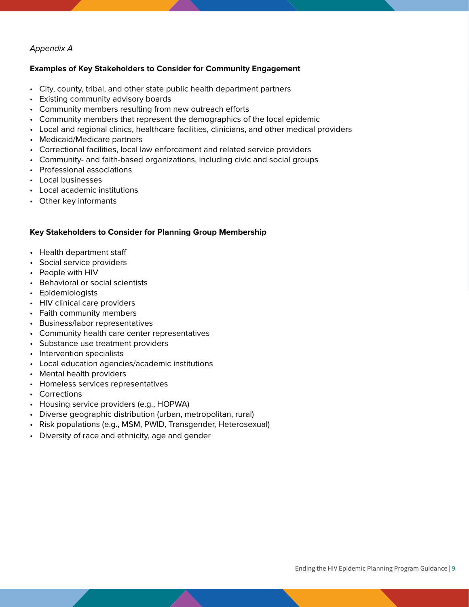# Appendix A

## **Examples of Key Stakeholders to Consider for Community Engagement**

- City, county, tribal, and other state public health department partners
- Existing community advisory boards
- Community members resulting from new outreach efforts
- Community members that represent the demographics of the local epidemic
- Local and regional clinics, healthcare facilities, clinicians, and other medical providers
- Medicaid/Medicare partners
- Correctional facilities, local law enforcement and related service providers
- Community- and faith-based organizations, including civic and social groups
- Professional associations
- Local businesses
- Local academic institutions
- Other key informants

# **Key Stakeholders to Consider for Planning Group Membership**

- Health department staff
- Social service providers
- People with HIV
- Behavioral or social scientists
- Epidemiologists
- HIV clinical care providers
- Faith community members
- Business/labor representatives
- Community health care center representatives
- Substance use treatment providers
- Intervention specialists
- Local education agencies/academic institutions
- Mental health providers
- Homeless services representatives
- Corrections
- Housing service providers (e.g., HOPWA)
- Diverse geographic distribution (urban, metropolitan, rural)
- Risk populations (e.g., MSM, PWID, Transgender, Heterosexual)
- Diversity of race and ethnicity, age and gender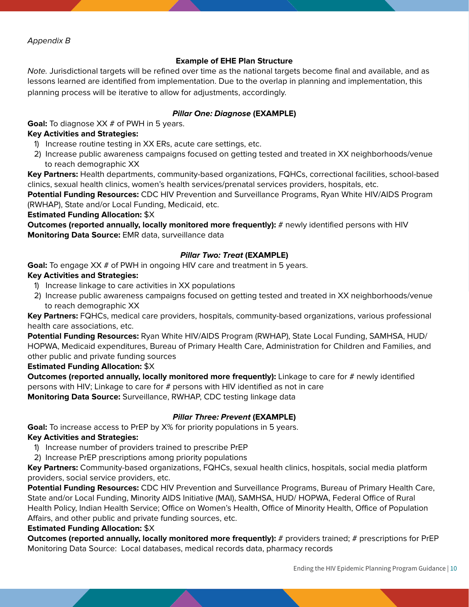#### **Example of EHE Plan Structure**

Note. Jurisdictional targets will be refined over time as the national targets become final and available, and as lessons learned are identified from implementation. Due to the overlap in planning and implementation, this planning process will be iterative to allow for adjustments, accordingly.

#### **Pillar One: Diagnose (EXAMPLE)**

**Goal:** To diagnose XX # of PWH in 5 years.

#### **Key Activities and Strategies:**

- 1) Increase routine testing in XX ERs, acute care settings, etc.
- 2) Increase public awareness campaigns focused on getting tested and treated in XX neighborhoods/venue to reach demographic XX

**Key Partners:** Health departments, community-based organizations, FQHCs, correctional facilities, school-based clinics, sexual health clinics, women's health services/prenatal services providers, hospitals, etc.

**Potential Funding Resources:** CDC HIV Prevention and Surveillance Programs, Ryan White HIV/AIDS Program (RWHAP), State and/or Local Funding, Medicaid, etc.

**Estimated Funding Allocation:** \$X

**Outcomes (reported annually, locally monitored more frequently):** # newly identified persons with HIV **Monitoring Data Source:** EMR data, surveillance data

# **Pillar Two: Treat (EXAMPLE)**

**Goal:** To engage XX # of PWH in ongoing HIV care and treatment in 5 years.

#### **Key Activities and Strategies:**

- 1) Increase linkage to care activities in XX populations
- 2) Increase public awareness campaigns focused on getting tested and treated in XX neighborhoods/venue to reach demographic XX

**Key Partners:** FQHCs, medical care providers, hospitals, community-based organizations, various professional health care associations, etc.

**Potential Funding Resources:** Ryan White HIV/AIDS Program (RWHAP), State Local Funding, SAMHSA, HUD/ HOPWA, Medicaid expenditures, Bureau of Primary Health Care, Administration for Children and Families, and other public and private funding sources

**Estimated Funding Allocation:** \$X

**Outcomes (reported annually, locally monitored more frequently):** Linkage to care for # newly identified persons with HIV; Linkage to care for # persons with HIV identified as not in care **Monitoring Data Source:** Surveillance, RWHAP, CDC testing linkage data

#### **Pillar Three: Prevent (EXAMPLE)**

**Goal:** To increase access to PrEP by X% for priority populations in 5 years.

#### **Key Activities and Strategies:**

- 1) Increase number of providers trained to prescribe PrEP
- 2) Increase PrEP prescriptions among priority populations

**Key Partners:** Community-based organizations, FQHCs, sexual health clinics, hospitals, social media platform providers, social service providers, etc.

**Potential Funding Resources:** CDC HIV Prevention and Surveillance Programs, Bureau of Primary Health Care, State and/or Local Funding, Minority AIDS Initiative (MAI), SAMHSA, HUD/ HOPWA, Federal Office of Rural Health Policy, Indian Health Service; Office on Women's Health, Office of Minority Health, Office of Population Affairs, and other public and private funding sources, etc.

#### **Estimated Funding Allocation:** \$X

**Outcomes (reported annually, locally monitored more frequently):** # providers trained; # prescriptions for PrEP Monitoring Data Source: Local databases, medical records data, pharmacy records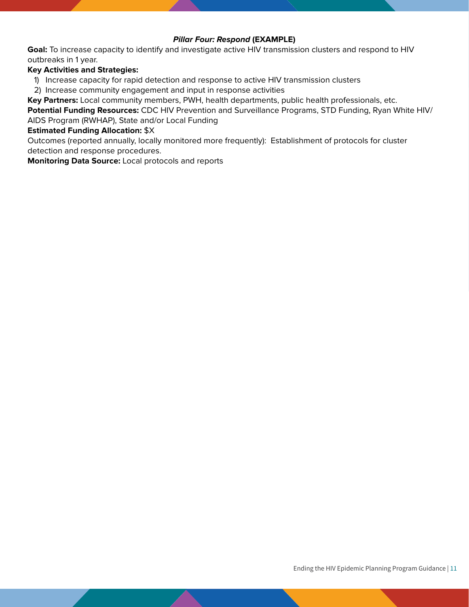## **Pillar Four: Respond (EXAMPLE)**

**Goal:** To increase capacity to identify and investigate active HIV transmission clusters and respond to HIV outbreaks in 1 year.

#### **Key Activities and Strategies:**

- 1) Increase capacity for rapid detection and response to active HIV transmission clusters
- 2) Increase community engagement and input in response activities

**Key Partners:** Local community members, PWH, health departments, public health professionals, etc.

**Potential Funding Resources:** CDC HIV Prevention and Surveillance Programs, STD Funding, Ryan White HIV/ AIDS Program (RWHAP), State and/or Local Funding

#### **Estimated Funding Allocation:** \$X

Outcomes (reported annually, locally monitored more frequently): Establishment of protocols for cluster detection and response procedures.

**Monitoring Data Source:** Local protocols and reports